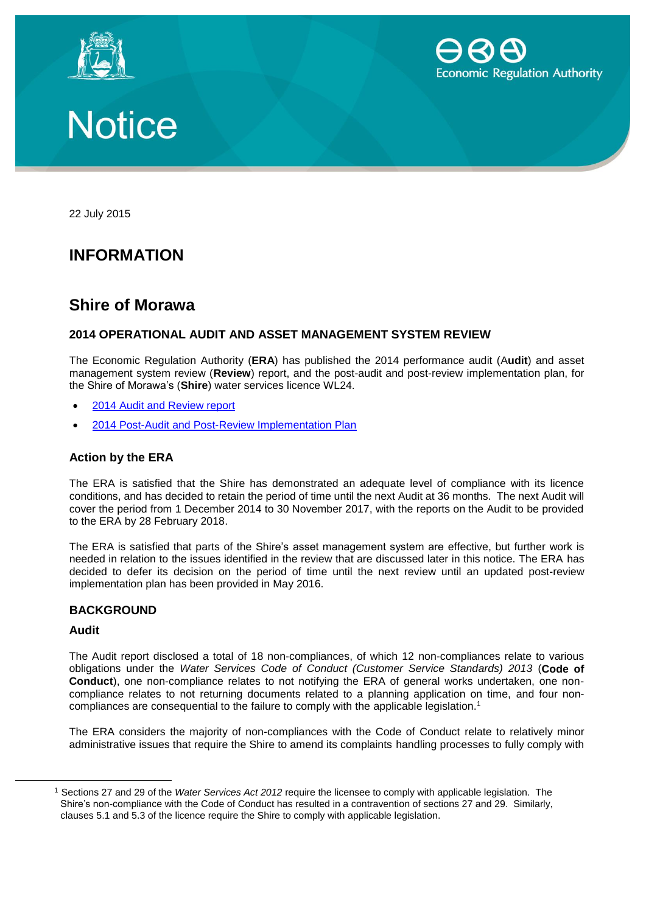





22 July 2015

## **INFORMATION**

### **Shire of Morawa**

#### **2014 OPERATIONAL AUDIT AND ASSET MANAGEMENT SYSTEM REVIEW**

The Economic Regulation Authority (**ERA**) has published the 2014 performance audit (A**udit**) and asset management system review (**Review**) report, and the post-audit and post-review implementation plan, for the Shire of Morawa's (**Shire**) water services licence WL24.

- [2014 Audit and Review report](http://www.erawa.com.au/cproot/13772/2/2014%20Operational%20Audit%20and%20Asset%20Management%20Review%20report.pdf)
- [2014 Post-Audit and Post-Review Implementation Plan](http://www.erawa.com.au/cproot/13773/2/2014%20Post-audit%20and%20Post-review%20implementation%20plan.PDF)

#### **Action by the ERA**

The ERA is satisfied that the Shire has demonstrated an adequate level of compliance with its licence conditions, and has decided to retain the period of time until the next Audit at 36 months. The next Audit will cover the period from 1 December 2014 to 30 November 2017, with the reports on the Audit to be provided to the ERA by 28 February 2018.

The ERA is satisfied that parts of the Shire's asset management system are effective, but further work is needed in relation to the issues identified in the review that are discussed later in this notice. The ERA has decided to defer its decision on the period of time until the next review until an updated post-review implementation plan has been provided in May 2016.

#### **BACKGROUND**

#### **Audit**

 $\overline{a}$ 

The Audit report disclosed a total of 18 non-compliances, of which 12 non-compliances relate to various obligations under the *Water Services Code of Conduct (Customer Service Standards) 2013* (**Code of Conduct**), one non-compliance relates to not notifying the ERA of general works undertaken, one noncompliance relates to not returning documents related to a planning application on time, and four noncompliances are consequential to the failure to comply with the applicable legislation. 1

The ERA considers the majority of non-compliances with the Code of Conduct relate to relatively minor administrative issues that require the Shire to amend its complaints handling processes to fully comply with

<sup>1</sup> Sections 27 and 29 of the *Water Services Act 2012* require the licensee to comply with applicable legislation. The Shire's non-compliance with the Code of Conduct has resulted in a contravention of sections 27 and 29. Similarly, clauses 5.1 and 5.3 of the licence require the Shire to comply with applicable legislation.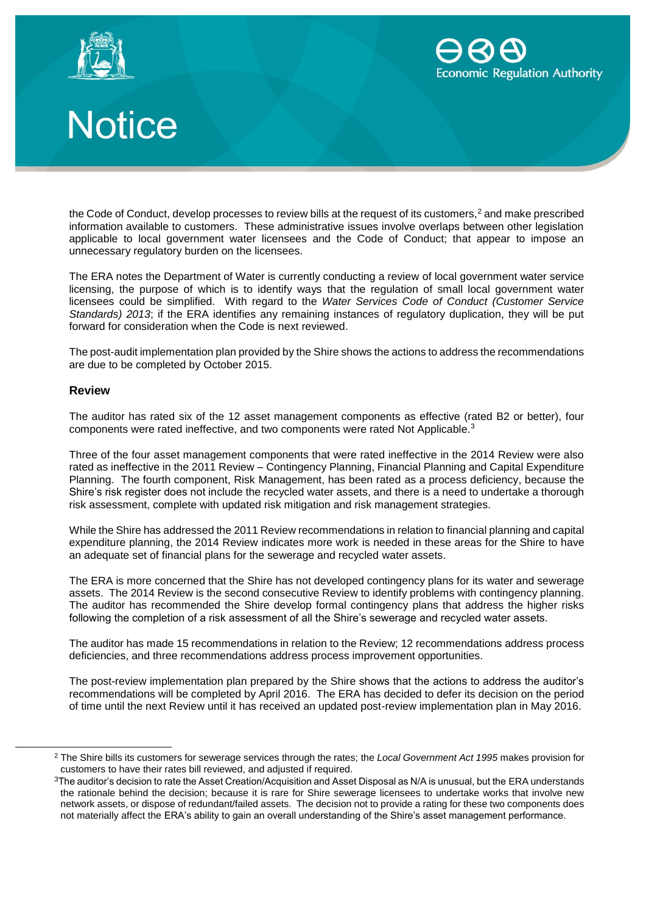





the Code of Conduct, develop processes to review bills at the request of its customers, $2$  and make prescribed information available to customers. These administrative issues involve overlaps between other legislation applicable to local government water licensees and the Code of Conduct; that appear to impose an unnecessary regulatory burden on the licensees.

The ERA notes the Department of Water is currently conducting a review of local government water service licensing, the purpose of which is to identify ways that the regulation of small local government water licensees could be simplified. With regard to the *Water Services Code of Conduct (Customer Service Standards) 2013*; if the ERA identifies any remaining instances of regulatory duplication, they will be put forward for consideration when the Code is next reviewed.

The post-audit implementation plan provided by the Shire shows the actions to address the recommendations are due to be completed by October 2015.

#### **Review**

The auditor has rated six of the 12 asset management components as effective (rated B2 or better), four components were rated ineffective, and two components were rated Not Applicable.<sup>3</sup>

Three of the four asset management components that were rated ineffective in the 2014 Review were also rated as ineffective in the 2011 Review – Contingency Planning, Financial Planning and Capital Expenditure Planning. The fourth component, Risk Management, has been rated as a process deficiency, because the Shire's risk register does not include the recycled water assets, and there is a need to undertake a thorough risk assessment, complete with updated risk mitigation and risk management strategies.

While the Shire has addressed the 2011 Review recommendations in relation to financial planning and capital expenditure planning, the 2014 Review indicates more work is needed in these areas for the Shire to have an adequate set of financial plans for the sewerage and recycled water assets.

The ERA is more concerned that the Shire has not developed contingency plans for its water and sewerage assets. The 2014 Review is the second consecutive Review to identify problems with contingency planning. The auditor has recommended the Shire develop formal contingency plans that address the higher risks following the completion of a risk assessment of all the Shire's sewerage and recycled water assets.

The auditor has made 15 recommendations in relation to the Review; 12 recommendations address process deficiencies, and three recommendations address process improvement opportunities.

The post-review implementation plan prepared by the Shire shows that the actions to address the auditor's recommendations will be completed by April 2016. The ERA has decided to defer its decision on the period of time until the next Review until it has received an updated post-review implementation plan in May 2016.

<sup>2</sup> The Shire bills its customers for sewerage services through the rates; the *Local Government Act 1995* makes provision for customers to have their rates bill reviewed, and adjusted if required.

<sup>&</sup>lt;sup>3</sup>The auditor's decision to rate the Asset Creation/Acquisition and Asset Disposal as N/A is unusual, but the ERA understands the rationale behind the decision; because it is rare for Shire sewerage licensees to undertake works that involve new network assets, or dispose of redundant/failed assets. The decision not to provide a rating for these two components does not materially affect the ERA's ability to gain an overall understanding of the Shire's asset management performance.